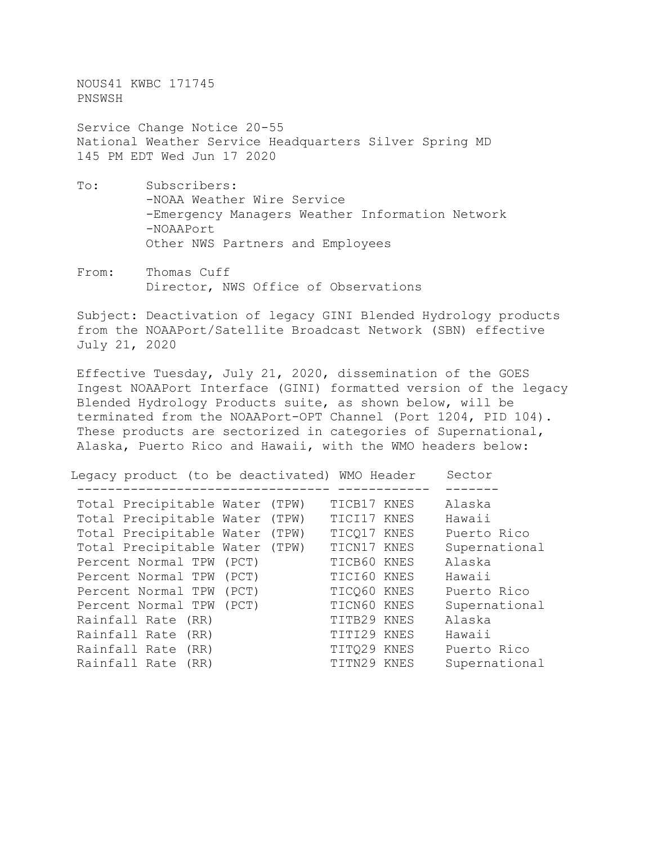NOUS41 KWBC 171745 PNSWSH

Service Change Notice 20-55 National Weather Service Headquarters Silver Spring MD 145 PM EDT Wed Jun 17 2020

- To: Subscribers: -NOAA Weather Wire Service -Emergency Managers Weather Information Network -NOAAPort Other NWS Partners and Employees
- From: Thomas Cuff Director, NWS Office of Observations

Subject: Deactivation of legacy GINI Blended Hydrology products from the NOAAPort/Satellite Broadcast Network (SBN) effective July 21, 2020

Effective Tuesday, July 21, 2020, dissemination of the GOES Ingest NOAAPort Interface (GINI) formatted version of the legacy Blended Hydrology Products suite, as shown below, will be terminated from the NOAAPort-OPT Channel (Port 1204, PID 104). These products are sectorized in categories of Supernational, Alaska, Puerto Rico and Hawaii, with the WMO headers below:

| Legacy product (to be deactivated) WMO Header |       |             | Sector        |
|-----------------------------------------------|-------|-------------|---------------|
| Total Precipitable Water (TPW)                |       | TICB17 KNES | Alaska        |
| Total Precipitable Water (TPW)                |       | TICI17 KNES | Hawaii        |
| Total Precipitable Water (TPW)                |       | TICO17 KNES | Puerto Rico   |
| Total Precipitable Water (TPW)                |       | TICN17 KNES | Supernational |
| Percent Normal TPW                            | (PCT) | TICB60 KNES | Alaska        |
| Percent Normal TPW                            | (PCT) | TICI60 KNES | Hawaii        |
| Percent Normal TPW                            | (PCT) | TICO60 KNES | Puerto Rico   |
| Percent Normal TPW                            | (PCT) | TICN60 KNES | Supernational |
| Rainfall Rate (RR)                            |       | TITB29 KNES | Alaska        |
| Rainfall Rate (RR)                            |       | TITI29 KNES | Hawaii        |
| Rainfall Rate (RR)                            |       | TITO29 KNES | Puerto Rico   |
| Rainfall Rate<br>(RR)                         |       | TITN29 KNES | Supernational |